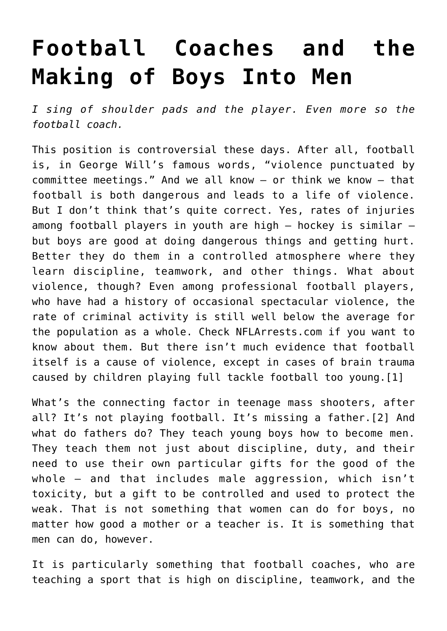## **[Football Coaches and the](https://intellectualtakeout.org/2019/12/football-coaches-and-the-making-of-boys-into-men/) [Making of Boys Into Men](https://intellectualtakeout.org/2019/12/football-coaches-and-the-making-of-boys-into-men/)**

*I sing of shoulder pads and the player. Even more so the football coach.*

This position is controversial these days. After all, football is, in George Will's famous words, "violence punctuated by committee meetings." And we all know – or think we know – that football is both dangerous and leads to a life of violence. But I don't think that's quite correct. Yes, rates of injuries among football players in youth are high – hockey is similar – but boys are good at doing dangerous things and getting hurt. Better they do them in a controlled atmosphere where they learn discipline, teamwork, and other things. What about violence, though? Even among professional football players, who have had a history of occasional spectacular violence, the rate of criminal activity is still well below the average for the population as a whole. Check NFLArrests.com if you want to know about them. But there isn't much evidence that football itself is a cause of violence, except in cases of brain trauma caused by children playing full tackle football too young.[1]

What's the connecting factor in teenage mass shooters, after all? It's not playing football. It's missing a father.[2] And what do fathers do? They teach young boys how to become men. They teach them not just about discipline, duty, and their need to use their own particular gifts for the good of the whole – and that includes male aggression, which isn't toxicity, but a gift to be controlled and used to protect the weak. That is not something that women can do for boys, no matter how good a mother or a teacher is. It is something that men can do, however.

It is particularly something that football coaches, who are teaching a sport that is high on discipline, teamwork, and the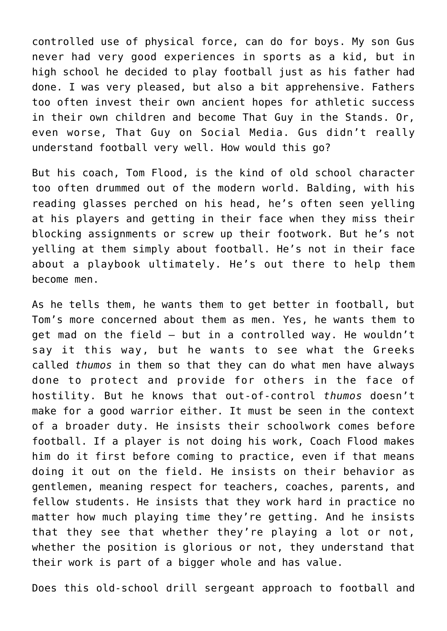controlled use of physical force, can do for boys. My son Gus never had very good experiences in sports as a kid, but in high school he decided to play football just as his father had done. I was very pleased, but also a bit apprehensive. Fathers too often invest their own ancient hopes for athletic success in their own children and become That Guy in the Stands. Or, even worse, That Guy on Social Media. Gus didn't really understand football very well. How would this go?

But his coach, Tom Flood, is the kind of old school character too often drummed out of the modern world. Balding, with his reading glasses perched on his head, he's often seen yelling at his players and getting in their face when they miss their blocking assignments or screw up their footwork. But he's not yelling at them simply about football. He's not in their face about a playbook ultimately. He's out there to help them become men.

As he tells them, he wants them to get better in football, but Tom's more concerned about them as men. Yes, he wants them to get mad on the field – but in a controlled way. He wouldn't say it this way, but he wants to see what the Greeks called *thumos* in them so that they can do what men have always done to protect and provide for others in the face of hostility. But he knows that out-of-control *thumos* doesn't make for a good warrior either. It must be seen in the context of a broader duty. He insists their schoolwork comes before football. If a player is not doing his work, Coach Flood makes him do it first before coming to practice, even if that means doing it out on the field. He insists on their behavior as gentlemen, meaning respect for teachers, coaches, parents, and fellow students. He insists that they work hard in practice no matter how much playing time they're getting. And he insists that they see that whether they're playing a lot or not, whether the position is glorious or not, they understand that their work is part of a bigger whole and has value.

Does this old-school drill sergeant approach to football and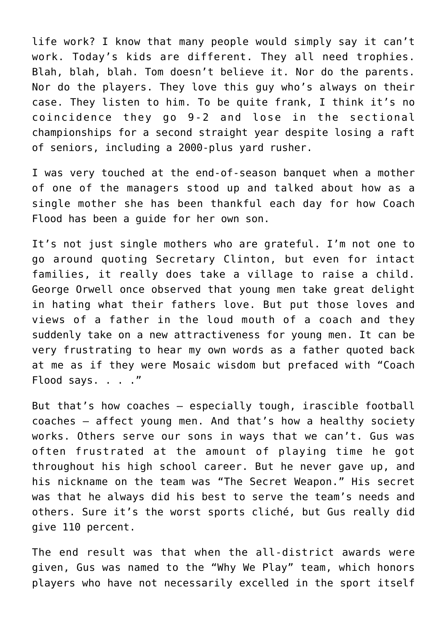life work? I know that many people would simply say it can't work. Today's kids are different. They all need trophies. Blah, blah, blah. Tom doesn't believe it. Nor do the parents. Nor do the players. They love this guy who's always on their case. They listen to him. To be quite frank, I think it's no coincidence they go 9-2 and lose in the sectional championships for a second straight year despite losing a raft of seniors, including a 2000-plus yard rusher.

I was very touched at the end-of-season banquet when a mother of one of the managers stood up and talked about how as a single mother she has been thankful each day for how Coach Flood has been a guide for her own son.

It's not just single mothers who are grateful. I'm not one to go around quoting Secretary Clinton, but even for intact families, it really does take a village to raise a child. George Orwell once observed that young men take great delight in hating what their fathers love. But put those loves and views of a father in the loud mouth of a coach and they suddenly take on a new attractiveness for young men. It can be very frustrating to hear my own words as a father quoted back at me as if they were Mosaic wisdom but prefaced with "Coach Flood says. . . ."

But that's how coaches – especially tough, irascible football coaches – affect young men. And that's how a healthy society works. Others serve our sons in ways that we can't. Gus was often frustrated at the amount of playing time he got throughout his high school career. But he never gave up, and his nickname on the team was "The Secret Weapon." His secret was that he always did his best to serve the team's needs and others. Sure it's the worst sports cliché, but Gus really did give 110 percent.

The end result was that when the all-district awards were given, Gus was named to the "Why We Play" team, which honors players who have not necessarily excelled in the sport itself